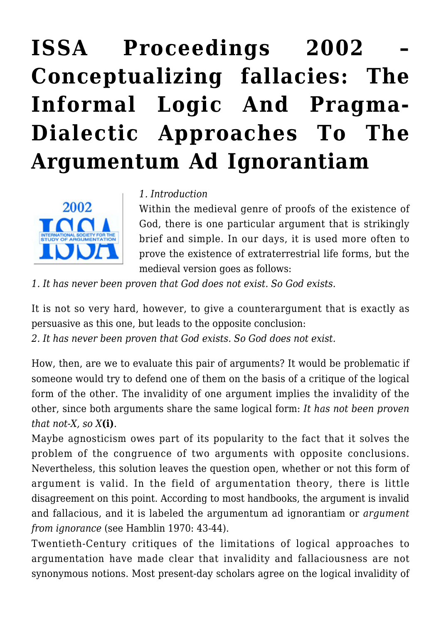# **[ISSA Proceedings 2002 –](https://rozenbergquarterly.com/issa-proceedings-2002-conceptualizing-fallacies-the-informal-logic-and-pragma-dialectic-approaches-to-the-argumentum-ad-ignorantiam/) [Conceptualizing fallacies: The](https://rozenbergquarterly.com/issa-proceedings-2002-conceptualizing-fallacies-the-informal-logic-and-pragma-dialectic-approaches-to-the-argumentum-ad-ignorantiam/) [Informal Logic And Pragma-](https://rozenbergquarterly.com/issa-proceedings-2002-conceptualizing-fallacies-the-informal-logic-and-pragma-dialectic-approaches-to-the-argumentum-ad-ignorantiam/)[Dialectic Approaches To The](https://rozenbergquarterly.com/issa-proceedings-2002-conceptualizing-fallacies-the-informal-logic-and-pragma-dialectic-approaches-to-the-argumentum-ad-ignorantiam/) [Argumentum Ad Ignorantiam](https://rozenbergquarterly.com/issa-proceedings-2002-conceptualizing-fallacies-the-informal-logic-and-pragma-dialectic-approaches-to-the-argumentum-ad-ignorantiam/)**



#### *1. Introduction*

Within the medieval genre of proofs of the existence of God, there is one particular argument that is strikingly brief and simple. In our days, it is used more often to prove the existence of extraterrestrial life forms, but the medieval version goes as follows:

*1. It has never been proven that God does not exist. So God exists.*

It is not so very hard, however, to give a counterargument that is exactly as persuasive as this one, but leads to the opposite conclusion:

*2. It has never been proven that God exists. So God does not exist.*

How, then, are we to evaluate this pair of arguments? It would be problematic if someone would try to defend one of them on the basis of a critique of the logical form of the other. The invalidity of one argument implies the invalidity of the other, since both arguments share the same logical form: *It has not been proven that not-X, so X***(i)**.

Maybe agnosticism owes part of its popularity to the fact that it solves the problem of the congruence of two arguments with opposite conclusions. Nevertheless, this solution leaves the question open, whether or not this form of argument is valid. In the field of argumentation theory, there is little disagreement on this point. According to most handbooks, the argument is invalid and fallacious, and it is labeled the argumentum ad ignorantiam or *argument from ignorance* (see Hamblin 1970: 43-44).

Twentieth-Century critiques of the limitations of logical approaches to argumentation have made clear that invalidity and fallaciousness are not synonymous notions. Most present-day scholars agree on the logical invalidity of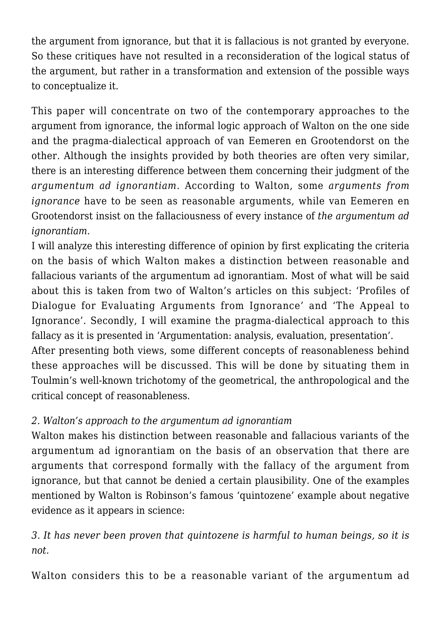the argument from ignorance, but that it is fallacious is not granted by everyone. So these critiques have not resulted in a reconsideration of the logical status of the argument, but rather in a transformation and extension of the possible ways to conceptualize it.

This paper will concentrate on two of the contemporary approaches to the argument from ignorance, the informal logic approach of Walton on the one side and the pragma-dialectical approach of van Eemeren en Grootendorst on the other. Although the insights provided by both theories are often very similar, there is an interesting difference between them concerning their judgment of the *argumentum ad ignorantiam*. According to Walton, some *arguments from ignorance* have to be seen as reasonable arguments, while van Eemeren en Grootendorst insist on the fallaciousness of every instance of *the argumentum ad ignorantiam.*

I will analyze this interesting difference of opinion by first explicating the criteria on the basis of which Walton makes a distinction between reasonable and fallacious variants of the argumentum ad ignorantiam. Most of what will be said about this is taken from two of Walton's articles on this subject: 'Profiles of Dialogue for Evaluating Arguments from Ignorance' and 'The Appeal to Ignorance'. Secondly, I will examine the pragma-dialectical approach to this fallacy as it is presented in 'Argumentation: analysis, evaluation, presentation'.

After presenting both views, some different concepts of reasonableness behind these approaches will be discussed. This will be done by situating them in Toulmin's well-known trichotomy of the geometrical, the anthropological and the critical concept of reasonableness.

# *2. Walton's approach to the argumentum ad ignorantiam*

Walton makes his distinction between reasonable and fallacious variants of the argumentum ad ignorantiam on the basis of an observation that there are arguments that correspond formally with the fallacy of the argument from ignorance, but that cannot be denied a certain plausibility. One of the examples mentioned by Walton is Robinson's famous 'quintozene' example about negative evidence as it appears in science:

*3. It has never been proven that quintozene is harmful to human beings, so it is not.*

Walton considers this to be a reasonable variant of the argumentum ad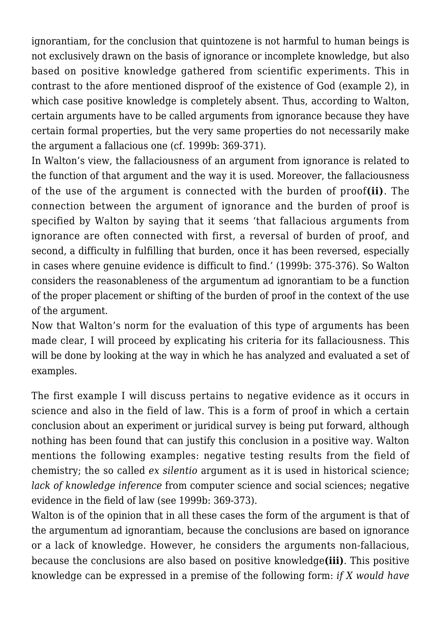ignorantiam, for the conclusion that quintozene is not harmful to human beings is not exclusively drawn on the basis of ignorance or incomplete knowledge, but also based on positive knowledge gathered from scientific experiments. This in contrast to the afore mentioned disproof of the existence of God (example 2), in which case positive knowledge is completely absent. Thus, according to Walton, certain arguments have to be called arguments from ignorance because they have certain formal properties, but the very same properties do not necessarily make the argument a fallacious one (cf. 1999b: 369-371).

In Walton's view, the fallaciousness of an argument from ignorance is related to the function of that argument and the way it is used. Moreover, the fallaciousness of the use of the argument is connected with the burden of proof**(ii)**. The connection between the argument of ignorance and the burden of proof is specified by Walton by saying that it seems 'that fallacious arguments from ignorance are often connected with first, a reversal of burden of proof, and second, a difficulty in fulfilling that burden, once it has been reversed, especially in cases where genuine evidence is difficult to find.' (1999b: 375-376). So Walton considers the reasonableness of the argumentum ad ignorantiam to be a function of the proper placement or shifting of the burden of proof in the context of the use of the argument.

Now that Walton's norm for the evaluation of this type of arguments has been made clear, I will proceed by explicating his criteria for its fallaciousness. This will be done by looking at the way in which he has analyzed and evaluated a set of examples.

The first example I will discuss pertains to negative evidence as it occurs in science and also in the field of law. This is a form of proof in which a certain conclusion about an experiment or juridical survey is being put forward, although nothing has been found that can justify this conclusion in a positive way. Walton mentions the following examples: negative testing results from the field of chemistry; the so called *ex silentio* argument as it is used in historical science; *lack of knowledge inference* from computer science and social sciences; negative evidence in the field of law (see 1999b: 369-373).

Walton is of the opinion that in all these cases the form of the argument is that of the argumentum ad ignorantiam, because the conclusions are based on ignorance or a lack of knowledge. However, he considers the arguments non-fallacious, because the conclusions are also based on positive knowledge**(iii)**. This positive knowledge can be expressed in a premise of the following form: *if X would have*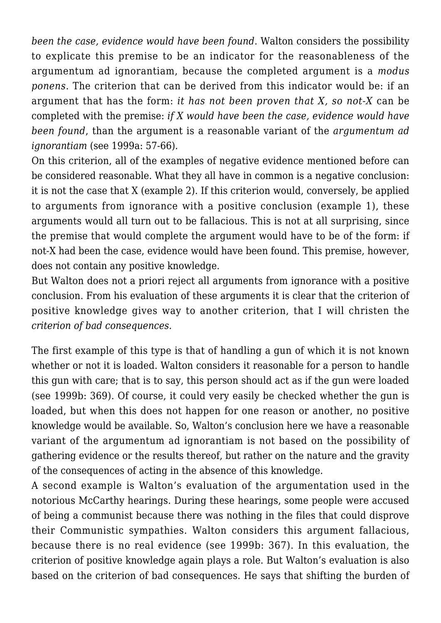*been the case, evidence would have been found*. Walton considers the possibility to explicate this premise to be an indicator for the reasonableness of the argumentum ad ignorantiam, because the completed argument is a *modus ponens*. The criterion that can be derived from this indicator would be: if an argument that has the form: *it has not been proven that X, so not-X* can be completed with the premise: *if X would have been the case, evidence would have been found*, than the argument is a reasonable variant of the *argumentum ad ignorantiam* (see 1999a: 57-66).

On this criterion, all of the examples of negative evidence mentioned before can be considered reasonable. What they all have in common is a negative conclusion: it is not the case that X (example 2). If this criterion would, conversely, be applied to arguments from ignorance with a positive conclusion (example 1), these arguments would all turn out to be fallacious. This is not at all surprising, since the premise that would complete the argument would have to be of the form: if not-X had been the case, evidence would have been found. This premise, however, does not contain any positive knowledge.

But Walton does not a priori reject all arguments from ignorance with a positive conclusion. From his evaluation of these arguments it is clear that the criterion of positive knowledge gives way to another criterion, that I will christen the *criterion of bad consequences.*

The first example of this type is that of handling a gun of which it is not known whether or not it is loaded. Walton considers it reasonable for a person to handle this gun with care; that is to say, this person should act as if the gun were loaded (see 1999b: 369). Of course, it could very easily be checked whether the gun is loaded, but when this does not happen for one reason or another, no positive knowledge would be available. So, Walton's conclusion here we have a reasonable variant of the argumentum ad ignorantiam is not based on the possibility of gathering evidence or the results thereof, but rather on the nature and the gravity of the consequences of acting in the absence of this knowledge.

A second example is Walton's evaluation of the argumentation used in the notorious McCarthy hearings. During these hearings, some people were accused of being a communist because there was nothing in the files that could disprove their Communistic sympathies. Walton considers this argument fallacious, because there is no real evidence (see 1999b: 367). In this evaluation, the criterion of positive knowledge again plays a role. But Walton's evaluation is also based on the criterion of bad consequences. He says that shifting the burden of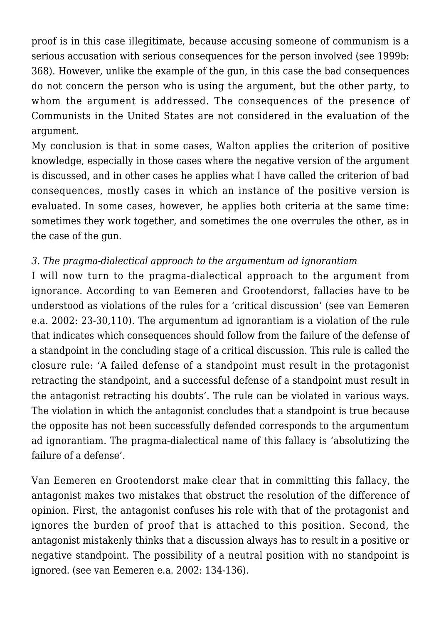proof is in this case illegitimate, because accusing someone of communism is a serious accusation with serious consequences for the person involved (see 1999b: 368). However, unlike the example of the gun, in this case the bad consequences do not concern the person who is using the argument, but the other party, to whom the argument is addressed. The consequences of the presence of Communists in the United States are not considered in the evaluation of the argument.

My conclusion is that in some cases, Walton applies the criterion of positive knowledge, especially in those cases where the negative version of the argument is discussed, and in other cases he applies what I have called the criterion of bad consequences, mostly cases in which an instance of the positive version is evaluated. In some cases, however, he applies both criteria at the same time: sometimes they work together, and sometimes the one overrules the other, as in the case of the gun.

## *3. The pragma-dialectical approach to the argumentum ad ignorantiam*

I will now turn to the pragma-dialectical approach to the argument from ignorance. According to van Eemeren and Grootendorst, fallacies have to be understood as violations of the rules for a 'critical discussion' (see van Eemeren e.a. 2002: 23-30,110). The argumentum ad ignorantiam is a violation of the rule that indicates which consequences should follow from the failure of the defense of a standpoint in the concluding stage of a critical discussion. This rule is called the closure rule: 'A failed defense of a standpoint must result in the protagonist retracting the standpoint, and a successful defense of a standpoint must result in the antagonist retracting his doubts'. The rule can be violated in various ways. The violation in which the antagonist concludes that a standpoint is true because the opposite has not been successfully defended corresponds to the argumentum ad ignorantiam. The pragma-dialectical name of this fallacy is 'absolutizing the failure of a defense'.

Van Eemeren en Grootendorst make clear that in committing this fallacy, the antagonist makes two mistakes that obstruct the resolution of the difference of opinion. First, the antagonist confuses his role with that of the protagonist and ignores the burden of proof that is attached to this position. Second, the antagonist mistakenly thinks that a discussion always has to result in a positive or negative standpoint. The possibility of a neutral position with no standpoint is ignored. (see van Eemeren e.a. 2002: 134-136).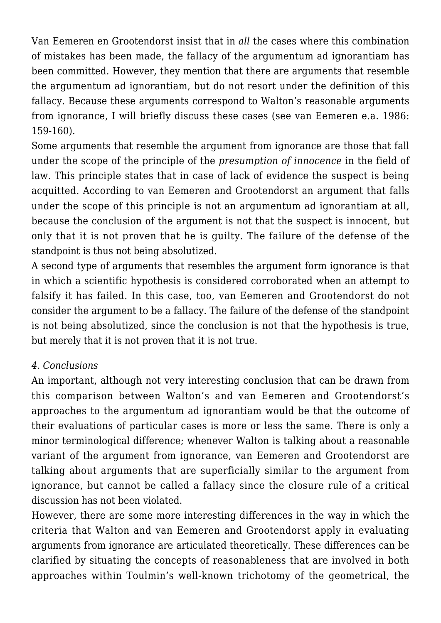Van Eemeren en Grootendorst insist that in *all* the cases where this combination of mistakes has been made, the fallacy of the argumentum ad ignorantiam has been committed. However, they mention that there are arguments that resemble the argumentum ad ignorantiam, but do not resort under the definition of this fallacy. Because these arguments correspond to Walton's reasonable arguments from ignorance, I will briefly discuss these cases (see van Eemeren e.a. 1986: 159-160).

Some arguments that resemble the argument from ignorance are those that fall under the scope of the principle of the *presumption of innocence* in the field of law. This principle states that in case of lack of evidence the suspect is being acquitted. According to van Eemeren and Grootendorst an argument that falls under the scope of this principle is not an argumentum ad ignorantiam at all, because the conclusion of the argument is not that the suspect is innocent, but only that it is not proven that he is guilty. The failure of the defense of the standpoint is thus not being absolutized.

A second type of arguments that resembles the argument form ignorance is that in which a scientific hypothesis is considered corroborated when an attempt to falsify it has failed. In this case, too, van Eemeren and Grootendorst do not consider the argument to be a fallacy. The failure of the defense of the standpoint is not being absolutized, since the conclusion is not that the hypothesis is true, but merely that it is not proven that it is not true.

## *4. Conclusions*

An important, although not very interesting conclusion that can be drawn from this comparison between Walton's and van Eemeren and Grootendorst's approaches to the argumentum ad ignorantiam would be that the outcome of their evaluations of particular cases is more or less the same. There is only a minor terminological difference; whenever Walton is talking about a reasonable variant of the argument from ignorance, van Eemeren and Grootendorst are talking about arguments that are superficially similar to the argument from ignorance, but cannot be called a fallacy since the closure rule of a critical discussion has not been violated.

However, there are some more interesting differences in the way in which the criteria that Walton and van Eemeren and Grootendorst apply in evaluating arguments from ignorance are articulated theoretically. These differences can be clarified by situating the concepts of reasonableness that are involved in both approaches within Toulmin's well-known trichotomy of the geometrical, the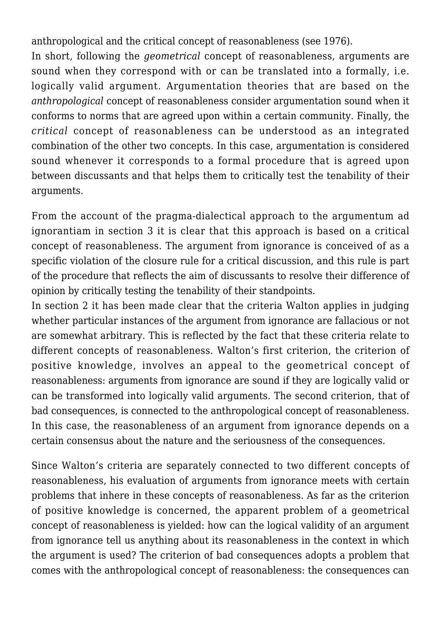anthropological and the critical concept of reasonableness (see 1976).

In short, following the *geometrical* concept of reasonableness, arguments are sound when they correspond with or can be translated into a formally, i.e. logically valid argument. Argumentation theories that are based on the *anthropological* concept of reasonableness consider argumentation sound when it conforms to norms that are agreed upon within a certain community. Finally, the *critical* concept of reasonableness can be understood as an integrated combination of the other two concepts. In this case, argumentation is considered sound whenever it corresponds to a formal procedure that is agreed upon between discussants and that helps them to critically test the tenability of their arguments.

From the account of the pragma-dialectical approach to the argumentum ad ignorantiam in section 3 it is clear that this approach is based on a critical concept of reasonableness. The argument from ignorance is conceived of as a specific violation of the closure rule for a critical discussion, and this rule is part of the procedure that reflects the aim of discussants to resolve their difference of opinion by critically testing the tenability of their standpoints.

In section 2 it has been made clear that the criteria Walton applies in judging whether particular instances of the argument from ignorance are fallacious or not are somewhat arbitrary. This is reflected by the fact that these criteria relate to different concepts of reasonableness. Walton's first criterion, the criterion of positive knowledge, involves an appeal to the geometrical concept of reasonableness: arguments from ignorance are sound if they are logically valid or can be transformed into logically valid arguments. The second criterion, that of bad consequences, is connected to the anthropological concept of reasonableness. In this case, the reasonableness of an argument from ignorance depends on a certain consensus about the nature and the seriousness of the consequences.

Since Walton's criteria are separately connected to two different concepts of reasonableness, his evaluation of arguments from ignorance meets with certain problems that inhere in these concepts of reasonableness. As far as the criterion of positive knowledge is concerned, the apparent problem of a geometrical concept of reasonableness is yielded: how can the logical validity of an argument from ignorance tell us anything about its reasonableness in the context in which the argument is used? The criterion of bad consequences adopts a problem that comes with the anthropological concept of reasonableness: the consequences can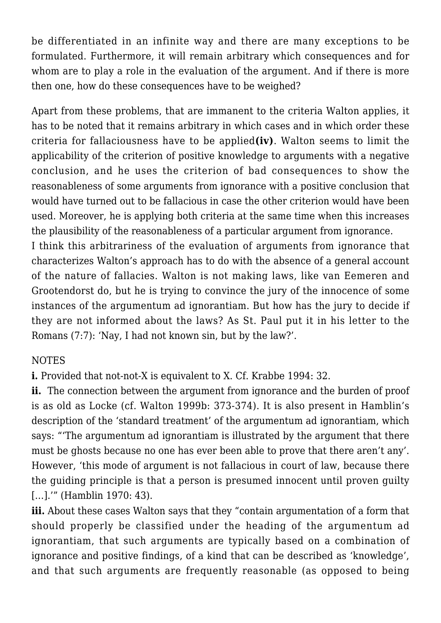be differentiated in an infinite way and there are many exceptions to be formulated. Furthermore, it will remain arbitrary which consequences and for whom are to play a role in the evaluation of the argument. And if there is more then one, how do these consequences have to be weighed?

Apart from these problems, that are immanent to the criteria Walton applies, it has to be noted that it remains arbitrary in which cases and in which order these criteria for fallaciousness have to be applied**(iv)**. Walton seems to limit the applicability of the criterion of positive knowledge to arguments with a negative conclusion, and he uses the criterion of bad consequences to show the reasonableness of some arguments from ignorance with a positive conclusion that would have turned out to be fallacious in case the other criterion would have been used. Moreover, he is applying both criteria at the same time when this increases the plausibility of the reasonableness of a particular argument from ignorance.

I think this arbitrariness of the evaluation of arguments from ignorance that characterizes Walton's approach has to do with the absence of a general account of the nature of fallacies. Walton is not making laws, like van Eemeren and Grootendorst do, but he is trying to convince the jury of the innocence of some instances of the argumentum ad ignorantiam. But how has the jury to decide if they are not informed about the laws? As St. Paul put it in his letter to the Romans (7:7): 'Nay, I had not known sin, but by the law?'.

#### **NOTES**

**i.** Provided that not-not-X is equivalent to X. Cf. Krabbe 1994: 32.

**ii.** The connection between the argument from ignorance and the burden of proof is as old as Locke (cf. Walton 1999b: 373-374). It is also present in Hamblin's description of the 'standard treatment' of the argumentum ad ignorantiam, which says: "'The argumentum ad ignorantiam is illustrated by the argument that there must be ghosts because no one has ever been able to prove that there aren't any'. However, 'this mode of argument is not fallacious in court of law, because there the guiding principle is that a person is presumed innocent until proven guilty [...].'" (Hamblin 1970: 43).

**iii.** About these cases Walton says that they "contain argumentation of a form that should properly be classified under the heading of the argumentum ad ignorantiam, that such arguments are typically based on a combination of ignorance and positive findings, of a kind that can be described as 'knowledge', and that such arguments are frequently reasonable (as opposed to being